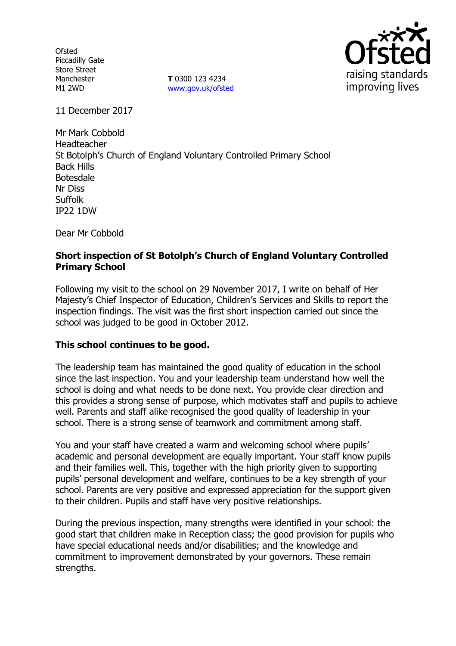**Ofsted** Piccadilly Gate Store Street Manchester M1 2WD

**T** 0300 123 4234 www.gov.uk/ofsted



11 December 2017

Mr Mark Cobbold Headteacher St Botolph's Church of England Voluntary Controlled Primary School Back Hills Botesdale Nr Diss Suffolk IP22 1DW

Dear Mr Cobbold

# **Short inspection of St Botolph's Church of England Voluntary Controlled Primary School**

Following my visit to the school on 29 November 2017, I write on behalf of Her Majesty's Chief Inspector of Education, Children's Services and Skills to report the inspection findings. The visit was the first short inspection carried out since the school was judged to be good in October 2012.

## **This school continues to be good.**

The leadership team has maintained the good quality of education in the school since the last inspection. You and your leadership team understand how well the school is doing and what needs to be done next. You provide clear direction and this provides a strong sense of purpose, which motivates staff and pupils to achieve well. Parents and staff alike recognised the good quality of leadership in your school. There is a strong sense of teamwork and commitment among staff.

You and your staff have created a warm and welcoming school where pupils' academic and personal development are equally important. Your staff know pupils and their families well. This, together with the high priority given to supporting pupils' personal development and welfare, continues to be a key strength of your school. Parents are very positive and expressed appreciation for the support given to their children. Pupils and staff have very positive relationships.

During the previous inspection, many strengths were identified in your school: the good start that children make in Reception class; the good provision for pupils who have special educational needs and/or disabilities; and the knowledge and commitment to improvement demonstrated by your governors. These remain strengths.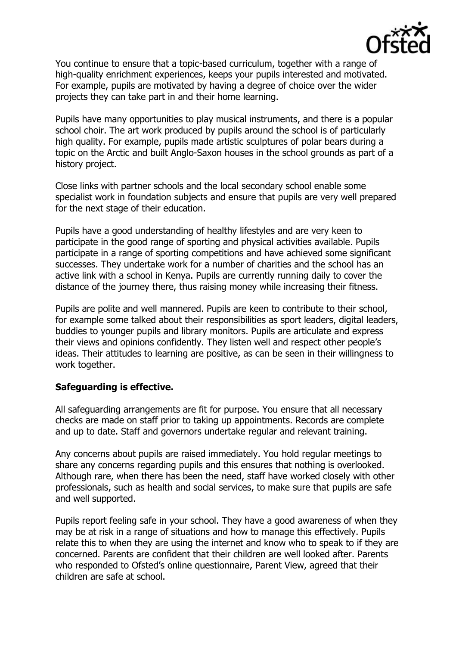

You continue to ensure that a topic-based curriculum, together with a range of high-quality enrichment experiences, keeps your pupils interested and motivated. For example, pupils are motivated by having a degree of choice over the wider projects they can take part in and their home learning.

Pupils have many opportunities to play musical instruments, and there is a popular school choir. The art work produced by pupils around the school is of particularly high quality. For example, pupils made artistic sculptures of polar bears during a topic on the Arctic and built Anglo-Saxon houses in the school grounds as part of a history project.

Close links with partner schools and the local secondary school enable some specialist work in foundation subjects and ensure that pupils are very well prepared for the next stage of their education.

Pupils have a good understanding of healthy lifestyles and are very keen to participate in the good range of sporting and physical activities available. Pupils participate in a range of sporting competitions and have achieved some significant successes. They undertake work for a number of charities and the school has an active link with a school in Kenya. Pupils are currently running daily to cover the distance of the journey there, thus raising money while increasing their fitness.

Pupils are polite and well mannered. Pupils are keen to contribute to their school, for example some talked about their responsibilities as sport leaders, digital leaders, buddies to younger pupils and library monitors. Pupils are articulate and express their views and opinions confidently. They listen well and respect other people's ideas. Their attitudes to learning are positive, as can be seen in their willingness to work together.

## **Safeguarding is effective.**

All safeguarding arrangements are fit for purpose. You ensure that all necessary checks are made on staff prior to taking up appointments. Records are complete and up to date. Staff and governors undertake regular and relevant training.

Any concerns about pupils are raised immediately. You hold regular meetings to share any concerns regarding pupils and this ensures that nothing is overlooked. Although rare, when there has been the need, staff have worked closely with other professionals, such as health and social services, to make sure that pupils are safe and well supported.

Pupils report feeling safe in your school. They have a good awareness of when they may be at risk in a range of situations and how to manage this effectively. Pupils relate this to when they are using the internet and know who to speak to if they are concerned. Parents are confident that their children are well looked after. Parents who responded to Ofsted's online questionnaire, Parent View, agreed that their children are safe at school.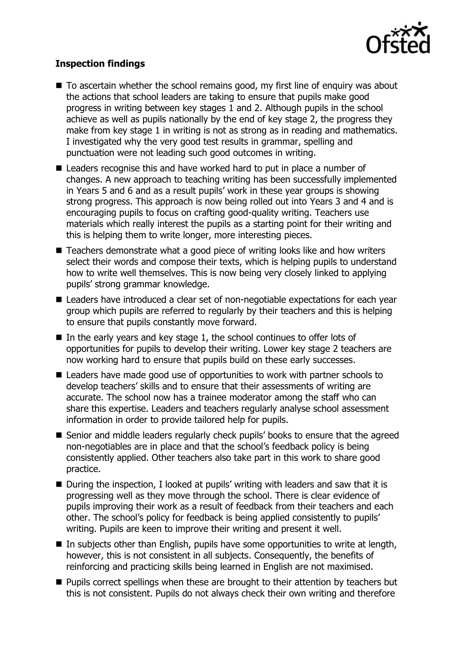

# **Inspection findings**

- $\blacksquare$  To ascertain whether the school remains good, my first line of enguiry was about the actions that school leaders are taking to ensure that pupils make good progress in writing between key stages 1 and 2. Although pupils in the school achieve as well as pupils nationally by the end of key stage 2, the progress they make from key stage 1 in writing is not as strong as in reading and mathematics. I investigated why the very good test results in grammar, spelling and punctuation were not leading such good outcomes in writing.
- Leaders recognise this and have worked hard to put in place a number of changes. A new approach to teaching writing has been successfully implemented in Years 5 and 6 and as a result pupils' work in these year groups is showing strong progress. This approach is now being rolled out into Years 3 and 4 and is encouraging pupils to focus on crafting good-quality writing. Teachers use materials which really interest the pupils as a starting point for their writing and this is helping them to write longer, more interesting pieces.
- Teachers demonstrate what a good piece of writing looks like and how writers select their words and compose their texts, which is helping pupils to understand how to write well themselves. This is now being very closely linked to applying pupils' strong grammar knowledge.
- Leaders have introduced a clear set of non-negotiable expectations for each year group which pupils are referred to regularly by their teachers and this is helping to ensure that pupils constantly move forward.
- In the early years and key stage 1, the school continues to offer lots of opportunities for pupils to develop their writing. Lower key stage 2 teachers are now working hard to ensure that pupils build on these early successes.
- Leaders have made good use of opportunities to work with partner schools to develop teachers' skills and to ensure that their assessments of writing are accurate. The school now has a trainee moderator among the staff who can share this expertise. Leaders and teachers regularly analyse school assessment information in order to provide tailored help for pupils.
- Senior and middle leaders regularly check pupils' books to ensure that the agreed non-negotiables are in place and that the school's feedback policy is being consistently applied. Other teachers also take part in this work to share good practice.
- During the inspection, I looked at pupils' writing with leaders and saw that it is progressing well as they move through the school. There is clear evidence of pupils improving their work as a result of feedback from their teachers and each other. The school's policy for feedback is being applied consistently to pupils' writing. Pupils are keen to improve their writing and present it well.
- In subjects other than English, pupils have some opportunities to write at length, however, this is not consistent in all subjects. Consequently, the benefits of reinforcing and practicing skills being learned in English are not maximised.
- **Pupils correct spellings when these are brought to their attention by teachers but** this is not consistent. Pupils do not always check their own writing and therefore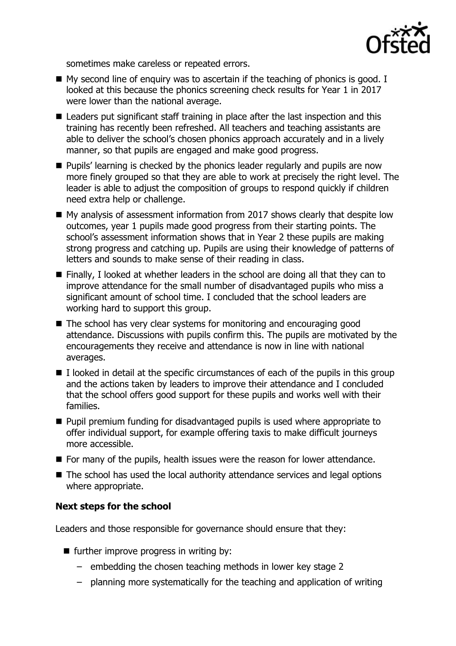

sometimes make careless or repeated errors.

- $\blacksquare$  My second line of enquiry was to ascertain if the teaching of phonics is good. I looked at this because the phonics screening check results for Year 1 in 2017 were lower than the national average.
- Leaders put significant staff training in place after the last inspection and this training has recently been refreshed. All teachers and teaching assistants are able to deliver the school's chosen phonics approach accurately and in a lively manner, so that pupils are engaged and make good progress.
- **Pupils' learning is checked by the phonics leader regularly and pupils are now** more finely grouped so that they are able to work at precisely the right level. The leader is able to adjust the composition of groups to respond quickly if children need extra help or challenge.
- My analysis of assessment information from 2017 shows clearly that despite low outcomes, year 1 pupils made good progress from their starting points. The school's assessment information shows that in Year 2 these pupils are making strong progress and catching up. Pupils are using their knowledge of patterns of letters and sounds to make sense of their reading in class.
- $\blacksquare$  Finally, I looked at whether leaders in the school are doing all that they can to improve attendance for the small number of disadvantaged pupils who miss a significant amount of school time. I concluded that the school leaders are working hard to support this group.
- The school has very clear systems for monitoring and encouraging good attendance. Discussions with pupils confirm this. The pupils are motivated by the encouragements they receive and attendance is now in line with national averages.
- $\blacksquare$  I looked in detail at the specific circumstances of each of the pupils in this group and the actions taken by leaders to improve their attendance and I concluded that the school offers good support for these pupils and works well with their families.
- **Pupil premium funding for disadvantaged pupils is used where appropriate to** offer individual support, for example offering taxis to make difficult journeys more accessible.
- **For many of the pupils, health issues were the reason for lower attendance.**
- The school has used the local authority attendance services and legal options where appropriate.

## **Next steps for the school**

Leaders and those responsible for governance should ensure that they:

- $\blacksquare$  further improve progress in writing by:
	- embedding the chosen teaching methods in lower key stage 2
	- planning more systematically for the teaching and application of writing